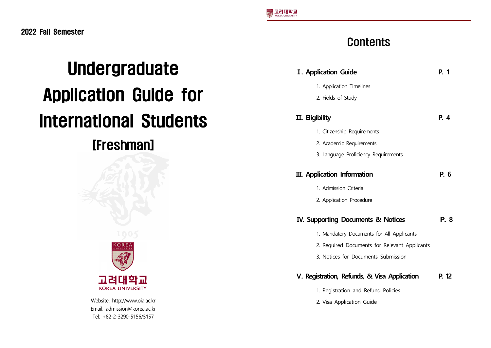# Undergraduate Application Guide for International Students

# [Freshman]



Website: http://www.oia.ac.kr Email: admission@korea.ac.kr Tel: +82-2-3290-5156/5157

# **Contents**

| <b>I. Application Guide</b>                   | P. 1  |
|-----------------------------------------------|-------|
| 1. Application Timelines                      |       |
| 2. Fields of Study                            |       |
| <b>II.</b> Eligibility                        | P. 4  |
| 1. Citizenship Requirements                   |       |
| 2. Academic Requirements                      |       |
| 3. Language Proficiency Requirements          |       |
| <b>III.</b> Application Information           | P. 6  |
| 1. Admission Criteria                         |       |
| 2. Application Procedure                      |       |
| IV. Supporting Documents & Notices            | P. 8  |
| 1. Mandatory Documents for All Applicants     |       |
| 2. Required Documents for Relevant Applicants |       |
| 3. Notices for Documents Submission           |       |
| V. Registration, Refunds, & Visa Application  | P. 12 |
| 1. Registration and Refund Policies           |       |
| 2. Visa Application Guide                     |       |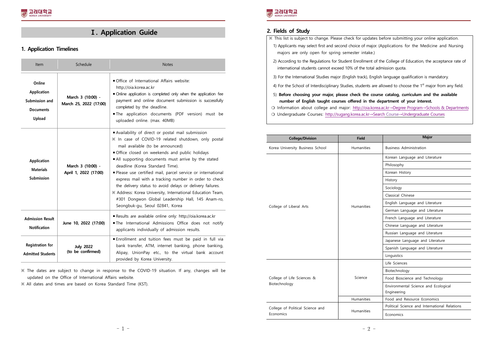# **Ⅰ. Application Guide**

#### **1. Application Timelines**

| Item                                                                  | Schedule                                    | <b>Notes</b>                                                                                                                                                                                                                                                                                                                                                                                                                                                                                                                                                                                                                    |
|-----------------------------------------------------------------------|---------------------------------------------|---------------------------------------------------------------------------------------------------------------------------------------------------------------------------------------------------------------------------------------------------------------------------------------------------------------------------------------------------------------------------------------------------------------------------------------------------------------------------------------------------------------------------------------------------------------------------------------------------------------------------------|
| Online<br>Application<br>Submission and<br><b>Documents</b><br>Upload | March 3 (10:00) -<br>March 25, 2022 (17:00) | Office of International Affairs website:<br>http://oia.korea.ac.kr<br>Online application is completed only when the application fee<br>payment and online document submission is successfully<br>completed by the deadline.<br>The application documents (PDF version) must be<br>uploaded online. (max. 40MB)                                                                                                                                                                                                                                                                                                                  |
| Application<br><b>Materials</b><br>Submission                         | March 3 (10:00) -<br>April 1, 2022 (17:00)  | Availability of direct or postal mail submission<br>※ In case of COVID-19 related shutdown, only postal<br>mail available (to be announced)<br>Office closed on weekends and public holidays<br>All supporting documents must arrive by the stated<br>deadline (Korea Standard Time).<br>Please use certified mail, parcel service or international<br>express mail with a tracking number in order to check<br>the delivery status to avoid delays or delivery failures.<br>※ Address: Korea University, International Education Team,<br>#301 Dongwon Global Leadership Hall, 145 Anam-ro,<br>Seongbuk-gu, Seoul 02841, Korea |
| <b>Admission Result</b><br><b>Notification</b>                        | June 10, 2022 (17:00)                       | Results are available online only: http://oia.korea.ac.kr<br>The International Admissions Office does not notify<br>applicants individually of admission results.                                                                                                                                                                                                                                                                                                                                                                                                                                                               |
| <b>Registration for</b><br><b>Admitted Students</b>                   | <b>July 2022</b><br>(to be confirmed)       | Enrollment and tuition fees must be paid in full via<br>bank transfer, ATM, internet banking, phone banking,<br>Alipay, UnionPay etc., to the virtual bank account<br>provided by Korea University.                                                                                                                                                                                                                                                                                                                                                                                                                             |

※ The dates are subject to change in response to the COVID-19 situation. If any, changes will be updated on the Office of International Affairs website.

※ All dates and times are based on Korea Standard Time (KST).



#### **2. Fields of Study**

| X This list is subject to change. Please check for updates before submitting your online application.                                                                                |
|--------------------------------------------------------------------------------------------------------------------------------------------------------------------------------------|
| 1) Applicants may select first and second choice of major. (Applications for the Medicine and Nursing<br>majors are only open for spring semester intake.)                           |
| 2) According to the Regulations for Student Enrollment of the College of Education, the acceptance rate of<br>international students cannot exceed 10% of the total admission quota. |
| 3) For the International Studies major (English track), English language qualification is mandatory.                                                                                 |
| 4) For the School of Interdisciplinary Studies, students are allowed to choose the $1st$ major from any field.                                                                       |
| 5) Before choosing your major, please check the course catalog, curriculum and the available<br>number of English taught courses offered in the department of your interest.         |
| O Information about college and major: http://oia.korea.ac.kr $\rightarrow$ Degree Program $\rightarrow$ Schools & Departments                                                       |
|                                                                                                                                                                                      |

❍ Undergraduate Courses: http://sugang.korea.ac.kr→Search Course→Undergraduate Courses

| <b>College/Division</b>                     | <b>Field</b>      | <b>Major</b>                                  |
|---------------------------------------------|-------------------|-----------------------------------------------|
| Korea University Business School            | Humanities        | <b>Business Administration</b>                |
|                                             |                   | Korean Language and Literature                |
|                                             |                   | Philosophy                                    |
|                                             |                   | Korean History                                |
|                                             |                   | History                                       |
|                                             |                   | Sociology                                     |
|                                             |                   | Classical Chinese                             |
| College of Liberal Arts                     | <b>Humanities</b> | English Language and Literature               |
|                                             |                   | German Language and Literature                |
|                                             |                   | French Language and Literature                |
|                                             |                   | Chinese Language and Literature               |
|                                             |                   | Russian Language and Literature               |
|                                             |                   | Japanese Language and Literature              |
|                                             |                   | Spanish Language and Literature               |
|                                             |                   | Linguistics                                   |
|                                             | Science           | Life Sciences                                 |
|                                             |                   | Biotechnology                                 |
| College of Life Sciences &<br>Biotechnology |                   | Food Bioscience and Technology                |
|                                             |                   | Environmental Science and Ecological          |
|                                             |                   | Engineering                                   |
|                                             | <b>Humanities</b> | Food and Resource Economics                   |
| College of Political Science and            | Humanities        | Political Science and International Relations |
| Economics                                   |                   | Economics                                     |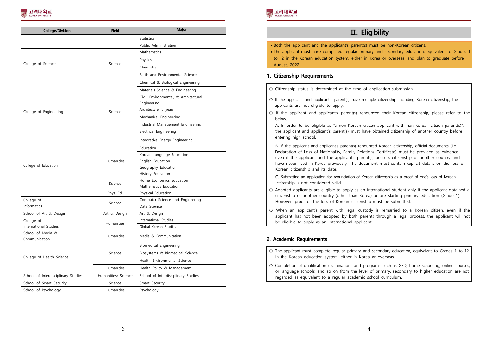| <b>College/Division</b>             | <b>Field</b>        | Major                                                |
|-------------------------------------|---------------------|------------------------------------------------------|
|                                     |                     | Statistics                                           |
|                                     |                     | Public Administration                                |
|                                     |                     | Mathematics                                          |
|                                     |                     | Physics                                              |
| College of Science                  | Science             | Chemistry                                            |
|                                     |                     | Earth and Environmental Science                      |
|                                     |                     | Chemical & Biological Engineering                    |
|                                     |                     | Materials Science & Engineering                      |
|                                     |                     | Civil, Environmental, & Architectural<br>Engineering |
|                                     | Science             | Architecture (5 years)                               |
| College of Engineering              |                     | Mechanical Engineering                               |
|                                     |                     | Industrial Management Engineering                    |
|                                     |                     | Electrical Engineering                               |
|                                     |                     | Integrative Energy Engineering                       |
|                                     |                     | Education                                            |
|                                     |                     | Korean Language Education                            |
|                                     | Humanities          | English Education                                    |
| College of Education                |                     | Geography Education                                  |
|                                     |                     | History Education                                    |
|                                     | Science             | Home Economics Education                             |
|                                     |                     | Mathematics Education                                |
|                                     | Phys. Ed.           | Physical Education                                   |
| College of                          | Science             | Computer Science and Engineering                     |
| Informatics                         |                     | Data Science                                         |
| School of Art & Design              | Art & Design        | Art & Design                                         |
| College of                          |                     | International Studies                                |
| International Studies               | <b>Humanities</b>   | Global Korean Studies                                |
| School of Media &<br>Communication  | Humanities          | Media & Communication                                |
|                                     |                     | Biomedical Engineering                               |
| College of Health Science           | Science             | Biosystems & Biomedical Science                      |
|                                     |                     | Health Environmental Science                         |
|                                     | <b>Humanities</b>   | Health Policy & Management                           |
| School of Interdisciplinary Studies | Humanities/ Science | School of Interdisciplinary Studies                  |
| School of Smart Security            | Science             | Smart Security                                       |
| School of Psychology                | Humanities          | Psychology                                           |



## **Ⅱ. Eligibility**

 $\bullet$  Both the applicant and the applicant's parent(s) must be non-Korean citizens.

**■ The applicant must have completed regular primary and secondary education, equivalent to Grades 1**  to 12 in the Korean education system, either in Korea or overseas, and plan to graduate before August, 2022.

#### **1. Citizenship Requirements**

❍ Citizenship status is determined at the time of application submission.

- ❍ If the applicant and applicant's parent(s) have multiple citizenship including Korean citizenship, the applicants are not eligible to apply.
- ❍ If the applicant and applicant's parent(s) renounced their Korean citizenship, please refer to the

below.<br>A. In order to be eligible as "a non-Korean citizen applicant with non-Korean citizen parent(s)", the applicant and applicant's parent(s) must have obtained citizenship of another country before

entering high school.<br>
B. If the applicant and applicant's parent(s) renounced Korean citizenship, official documents (i.e.<br>
Declaration of Loss of Nationality, Family Relations Certificate) must be provided as evidence even if the applicant and the applicant's parent(s) possess citizenship of another country and have never lived in Korea previously. The document must contain explicit details on the loss of Korean citizenship and its date.

- C. Submitting an application for renunciation of Korean citizenship as a proof of one's loss of Korean citizenship is not considered valid.
- ❍ Adopted applicants are eligible to apply as an international student only if the applicant obtained a citizenship of another country (other than Korea) before starting primary education (Grade 1). However, proof of the loss of Korean citizenship must be submitted.
- ❍ When an applicant's parent with legal custody is remarried to a Korean citizen, even if the applicant has not been adopted by both parents through a legal process, the applicant will not be eligible to apply as an international applicant.

#### **2. Academic Requirements**

❍ The applicant must complete regular primary and secondary education, equivalent to Grades 1 to 12 in the Korean education system, either in Korea or overseas.

❍ Completion of qualification examinations and programs such as GED, home schooling, online courses, or language schools, and so on from the level of primary, secondary to higher education are not regarded as equivalent to a regular academic school curriculum.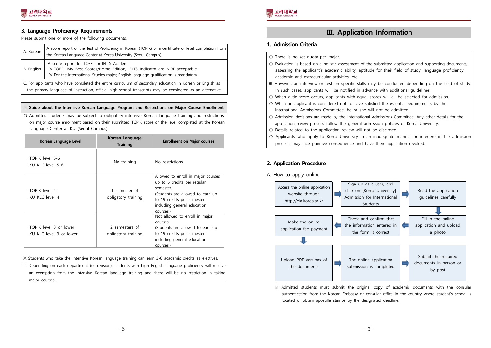#### **3. Language Proficiency Requirements**

Please submit one or more of the following documents.

| A. Korean                                                                                                                                                                                                               | A score report of the Test of Proficiency in Korean (TOPIK) or a certificate of level completion from<br>the Korean Language Center at Korea University (Seoul Campus).                                       |  |
|-------------------------------------------------------------------------------------------------------------------------------------------------------------------------------------------------------------------------|---------------------------------------------------------------------------------------------------------------------------------------------------------------------------------------------------------------|--|
| B. English                                                                                                                                                                                                              | A score report for TOEFL or IELTS Academic<br>X TOEFL My Best Scores/Home Edition, IELTS Indicator are NOT acceptable.<br>X For the International Studies major, English language qualification is mandatory. |  |
| C. For applicants who have completed the entire curriculum of secondary education in Korean or English as<br>the primary language of instruction, official high school transcripts may be considered as an alternative. |                                                                                                                                                                                                               |  |

#### **※ Guide about the Intensive Korean Language Program and Restrictions on Major Course Enrollment**

❍ Admitted students may be subject to obligatory intensive Korean language training and restrictions on major course enrollment based on their submitted TOPIK score or the level completed at the Korean Language Center at KU (Seoul Campus).

| Korean Language Level                                 | Korean Language<br><b>Training</b>    | <b>Enrollment on Major courses</b>                                                                                                                                                          |
|-------------------------------------------------------|---------------------------------------|---------------------------------------------------------------------------------------------------------------------------------------------------------------------------------------------|
| · TOPIK level 5-6<br>· KU KLC level 5-6               | No training                           | No restrictions.                                                                                                                                                                            |
| $\cdot$ TOPIK level 4<br>· KU KLC level 4             | 1 semester of<br>obligatory training  | Allowed to enroll in major courses<br>up to 6 credits per regular<br>semester<br>(Students are allowed to earn up<br>to 19 credits per semester<br>including general education<br>courses.) |
| · TOPIK level 3 or lower<br>· KU KLC level 3 or lower | 2 semesters of<br>obligatory training | Not allowed to enroll in major<br>courses.<br>(Students are allowed to earn up<br>to 19 credits per semester<br>including general education<br>courses.)                                    |

※ Students who take the intensive Korean language training can earn 3-6 academic credits as electives.

※ Depending on each department (or division), students with high English language proficiency will receive an exemption from the intensive Korean language training and there will be no restriction in taking major courses.



### **Ⅲ. Application Information**

#### **1. Admission Criteria**

- ❍ There is no set quota per major.
- ❍ Evaluation is based on a holistic assessment of the submitted application and supporting documents, assessing the applicant's academic ability, aptitude for their field of study, language proficiency, academic and extracurricular activities, etc.
- ※ However, an interview or test on specific skills may be conducted depending on the field of study. In such cases, applicants will be notified in advance with additional guidelines.
- ❍ When a tie score occurs, applicants with equal scores will all be selected for admission.
- ❍ When an applicant is considered not to have satisfied the essential requirements by the International Admissions Committee, he or she will not be admitted.
- ❍ Admission decisions are made by the International Admissions Committee. Any other details for the application review process follow the general admission policies of Korea University.
- ❍ Details related to the application review will not be disclosed.
- ❍ Applicants who apply to Korea University in an inadequate manner or interfere in the admission process, may face punitive consequence and have their application revoked.

#### **2. Application Procedure**





 ※ Admitted students must submit the original copy of academic documents with the consular authentication from the Korean Embassy or consular office in the country where student's school is located or obtain apostille stamps by the designated deadline.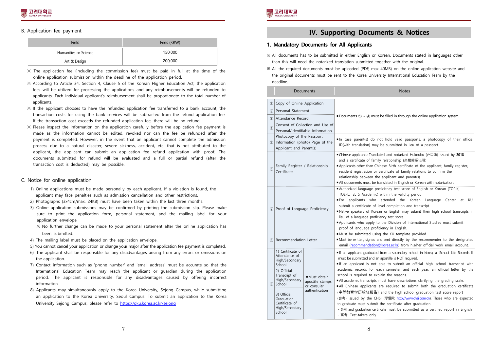#### B. Application fee payment

| Field                 | Fees (KRW) |
|-----------------------|------------|
| Humanities or Science | 150,000    |
| Art & Design          | 200,000    |

- ※ The application fee (including the commission fee) must be paid in full at the time of the online application submission within the deadline of the application period.
- ※ According to Article 34, Section 4, Clause 5 of the Korean Higher Education Act, the application fees will be utilized for processing the applications and any reimbursements will be refunded to applicants. Each individual applicant's reimbursement shall be proportionate to the total number of applicants.<br>
※ If the applicant chooses to have the refunded application fee transferred to a bank account, the
- transaction costs for using the bank services will be subtracted from the refund application fee. If the transaction cost exceeds the refunded application fee, there will be no refund.  $\%$  Please inspect the information on the application carefully before the application fee payment is
- made as the information cannot be edited, revoked nor can the fee be refunded after the payment is completed. However, in the event that an applicant cannot complete the admission process due to a natural disaster, severe sickness, accident, etc. that is not attributed to the applicant, the applicant can submit an application fee refund application with proof. The documents submitted for refund will be evaluated and a full or partial refund (after the transaction cost is deducted) may be possible.

#### C. Notice for online application

- 1) Online applications must be made personally by each applicant. If a violation is found, the applicant may face penalties such as admission cancellation and other restrictions. 2) Photographs (3x4cm/max. 24KB) must have been taken within the last three months.
- 
- 3) Online application submissions may be confirmed by printing the submission slip. Please make sure to print the application form, personal statement, and the mailing label for your application envelope.
	- ※ No further change can be made to your personal statement after the online application has
- 
- been submitted.<br>
4) The mailing label must be placed on the application envelope.<br>
5) You cannot cancel your application or change your major after the application fee payment is completed.<br>
6) The applicant shall be respo
- 
- the application. 7) Contact information such as 'phone number' and 'email address' must be accurate so that the International Education Team may reach the applicant or guardian during the application period. The applicant is responsible for any disadvantages caused by offering incorrect
- information. 8) Applicants may simultaneously apply to the Korea University, Sejong Campus, while submitting an application to the Korea University, Seoul Campus. To submit an application to the Korea University Sejong Campus, please refer to https://oku.korea.ac.kr/sejong



### **Ⅳ. Supporting Documents & Notices**

#### **1. Mandatory Documents for All Applicants**

- ※ All documents has to be submitted in either English or Korean. Documents stated in languages other than this will need the notarized translation submitted together with the original.
- ※ All the required documents must be uploaded (PDF, max 40MB) on the online application website and the original documents must be sent to the Korea University International Education Team by the deadline.

|                             | Documents                                                                                                                                                                                                                                                                 | <b>Notes</b>                                                                                                                                                                                                                                                                                                                                                                                                                                                                                                                                                                                                                                                                                                                                                                                                                                                  |
|-----------------------------|---------------------------------------------------------------------------------------------------------------------------------------------------------------------------------------------------------------------------------------------------------------------------|---------------------------------------------------------------------------------------------------------------------------------------------------------------------------------------------------------------------------------------------------------------------------------------------------------------------------------------------------------------------------------------------------------------------------------------------------------------------------------------------------------------------------------------------------------------------------------------------------------------------------------------------------------------------------------------------------------------------------------------------------------------------------------------------------------------------------------------------------------------|
| $\mathbb{D}$                | Copy of Online Application                                                                                                                                                                                                                                                |                                                                                                                                                                                                                                                                                                                                                                                                                                                                                                                                                                                                                                                                                                                                                                                                                                                               |
| (2)                         | Personal Statement                                                                                                                                                                                                                                                        |                                                                                                                                                                                                                                                                                                                                                                                                                                                                                                                                                                                                                                                                                                                                                                                                                                                               |
|                             | 3) Attendance Record                                                                                                                                                                                                                                                      | Documents $(1) \sim (4)$ must be filled in through the online application system.                                                                                                                                                                                                                                                                                                                                                                                                                                                                                                                                                                                                                                                                                                                                                                             |
| $\left(\overline{4}\right)$ | Consent of Collection and Use of<br>Personal/Identifiable Information                                                                                                                                                                                                     |                                                                                                                                                                                                                                                                                                                                                                                                                                                                                                                                                                                                                                                                                                                                                                                                                                                               |
|                             | Photocopy of the Passport<br>5 Information (photo) Page of the<br>Applicant and Parent(s)                                                                                                                                                                                 | In case parent(s) do not hold valid passports, a photocopy of their official<br>ID(with translation) may be submitted in lieu of a passport.                                                                                                                                                                                                                                                                                                                                                                                                                                                                                                                                                                                                                                                                                                                  |
| $6$                         | Family Register / Relationship<br>Certificate                                                                                                                                                                                                                             | ■ Chinese applicants: Translated and notarized Hukoubu (户口簿) issued by 2018<br>and a certificate of family relationship (亲属关系证明)<br>Applicants other than Chinese: Birth certificate of the applicant, family register,<br>resident registration or certificate of family relations to confirm the<br>relationship between the applicant and parent(s)<br>All documents must be translated in English or Korean with notarization.                                                                                                                                                                                                                                                                                                                                                                                                                            |
|                             | 7 Proof of Language Proficiency                                                                                                                                                                                                                                           | Authorized language proficiency test score of English or Korean (TOPIK,<br>TOEFL, IELTS Academic) within the validity period<br>For applicants who attended the Korean Language Center at KU,<br>submit a certificate of level completion and transcript.<br>Native speakers of Korean or English may submit their high school transcripts in<br>lieu of a language proficiency test score.<br>Applicants who apply to the Division of International Studies must submit<br>proof of language proficiency in English.                                                                                                                                                                                                                                                                                                                                         |
| (8)                         | Recommendation Letter                                                                                                                                                                                                                                                     | Must be submitted using the KU template provided<br>Must be written, signed and sent directly by the recommender to the designated<br>email (recommendation@korea.ac.kr) from his/her official work email account.                                                                                                                                                                                                                                                                                                                                                                                                                                                                                                                                                                                                                                            |
| (9)                         | 1) Certificate of<br>Attendance of<br>High/Secondary<br>School<br>2) Official<br>Transcript of<br>Must obtain<br>High/Secondary<br>apostille stamps<br>School<br>or consular<br>authentication<br>3) Official<br>Graduation<br>Certificate of<br>High/Secondary<br>School | If an applicant graduated from a secondary school in Korea, a 'School Life Records II'<br>must be submitted and an apostille is NOT required.<br>If an applicant is not able to submit an official high school transcript with<br>academic records for each semester and each year, an official letter by the<br>school is required to explain the reasons.<br>All academic transcripts must have descriptions clarifying the grading scale.<br>All Chinese applicants are required to submit both the graduation certificate<br>(中等教育学历验证报告) and the high school graduation test score report<br>(会考) issued by the CHSI (学信网: http://www.chsi.com.cn). Those who are expected<br>to graduate must submit the certificate after graduation.<br>- 会考 and graduation certificate must be submitted as a certified report in English.<br>- 高考: Test-takers only |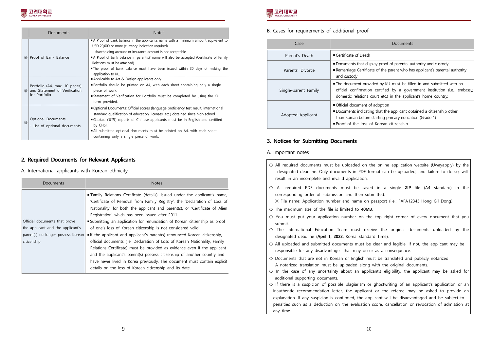|                | Documents                                                                       | <b>Notes</b>                                                                                                                                                                                                                                                                                                                                                                                                                               |
|----------------|---------------------------------------------------------------------------------|--------------------------------------------------------------------------------------------------------------------------------------------------------------------------------------------------------------------------------------------------------------------------------------------------------------------------------------------------------------------------------------------------------------------------------------------|
| $\circled{10}$ | Proof of Bank Balance                                                           | A Proof of bank balance in the applicant's name with a minimum amount equivalent to<br>USD 20,000 or more (currency indication required).<br>- shareholding account or insurance account is not acceptable<br>A Proof of bank balance in parent(s)' name will also be accepted (Certificate of Family<br>Relations must be attached)<br>The proof of bank balance must have been issued within 30 days of making the<br>application to KU. |
| (1)            | Portfolio (A4, max. 10 pages)<br>and Statement of Verification<br>for Portfolio | Applicable to Art & Design applicants only<br>Portfolio should be printed on A4, with each sheet containing only a single<br>piece of work.<br>■Statement of Verification for Portfolio must be completed by using the KU<br>form provided.                                                                                                                                                                                                |
| (12)           | Optional Documents<br>- List of optional documents                              | Optional Documents: Official scores (language proficiency test result, international<br>standard qualification of education, licenses, etc.) obtained since high school<br>■Gaokao (高考) reports of Chinese applicants must be in English and certified<br>by CHSI.<br>All submitted optional documents must be printed on A4, with each sheet<br>containing only a single piece of work.                                                   |

#### **2. Required Documents for Relevant Applicants**

#### A. International applicants with Korean ethnicity

| <b>Documents</b>                   | <b>Notes</b>                                                                                                                                              |
|------------------------------------|-----------------------------------------------------------------------------------------------------------------------------------------------------------|
|                                    | "Family Relations Certificate (details)' issued under the applicant's name,<br>'Certificate of Removal from Family Registry', the 'Declaration of Loss of |
|                                    | Nationality' for both the applicant and parent(s), or 'Certificate of Alien                                                                               |
|                                    | Registration' which has been issued after 2011.                                                                                                           |
| Official documents that prove      | ■ Submitting an application for renunciation of Korean citizenship as proof                                                                               |
| the applicant and the applicant's  | of one's loss of Korean citizenship is not considered valid.                                                                                              |
| parent(s) no longer possess Korean | If the applicant and applicant's parent(s) renounced Korean citizenship,                                                                                  |
| citizenship                        | official documents (i.e. Declaration of Loss of Korean Nationality, Family                                                                                |
|                                    | Relations Certificate) must be provided as evidence even if the applicant                                                                                 |
|                                    | and the applicant's parent(s) possess citizenship of another country and                                                                                  |
|                                    | have never lived in Korea previously. The document must contain explicit                                                                                  |
|                                    | details on the loss of Korean citizenship and its date.                                                                                                   |



B. Cases for requirements of additional proof

| Case                 | Documents                                                                                                                                                                                                             |
|----------------------|-----------------------------------------------------------------------------------------------------------------------------------------------------------------------------------------------------------------------|
| Parent's Death       | $\blacksquare$ Certificate of Death                                                                                                                                                                                   |
| Parents' Divorce     | ■ Documents that display proof of parental authority and custody<br>Remarriage Certificate of the parent who has applicant's parental authority<br>and custody                                                        |
| Single-parent Family | The document provided by KU must be filled in and submitted with an<br>official confirmation certified by a government institution (i.e., embassy,<br>domestic relations court etc.) in the applicant's home country. |
| Adopted Applicant    | ■ Official document of adoption<br>Documents indicating that the applicant obtained a citizenship other<br>than Korean before starting primary education (Grade 1)<br>■ Proof of the loss of Korean citizenship       |

#### **3. Notices for Submitting Documents**

#### A. Important notes

|         | $\circ$ All required documents must be uploaded on the online application website (Uwayapply) by the<br>designated deadline. Only documents in PDF format can be uploaded, and failure to do so, will<br>result in an incomplete and invalid application.                                                                                                                                                    |
|---------|--------------------------------------------------------------------------------------------------------------------------------------------------------------------------------------------------------------------------------------------------------------------------------------------------------------------------------------------------------------------------------------------------------------|
| $\circ$ | All required PDF documents must be saved in a single <b>ZIP</b> file (A4 standard) in the<br>corresponding order of submission and then submitted.<br>X File name: Application number and name on passport (i.e.: FAFA12345_Hong Gil Dong)                                                                                                                                                                   |
|         | $\circ$ The maximum size of the file is limited to 40MB.                                                                                                                                                                                                                                                                                                                                                     |
|         | O You must put your application number on the top right corner of every document that you<br>submit.                                                                                                                                                                                                                                                                                                         |
| ∩       | The International Education Team must receive the original documents uploaded by the<br>designated deadline (April 1, 2022, Korea Standard Time).                                                                                                                                                                                                                                                            |
|         | O All uploaded and submitted documents must be clear and legible. If not, the applicant may be<br>responsible for any disadvantages that may occur as a consequence.                                                                                                                                                                                                                                         |
| $\circ$ | O Documents that are not in Korean or English must be translated and publicly notarized.<br>A notarized translation must be uploaded along with the original documents.<br>In the case of any uncertainty about an applicant's eligibility, the applicant may be asked for                                                                                                                                   |
|         | additional supporting documents.                                                                                                                                                                                                                                                                                                                                                                             |
|         | O If there is a suspicion of possible plagiarism or ghostwriting of an applicant's application or an<br>inauthentic recommendation letter, the applicant or the referee may be asked to provide an<br>explanation. If any suspicion is confirmed, the applicant will be disadvantaged and be subject to<br>penalties such as a deduction on the evaluation score, cancellation or revocation of admission at |
|         | any time.                                                                                                                                                                                                                                                                                                                                                                                                    |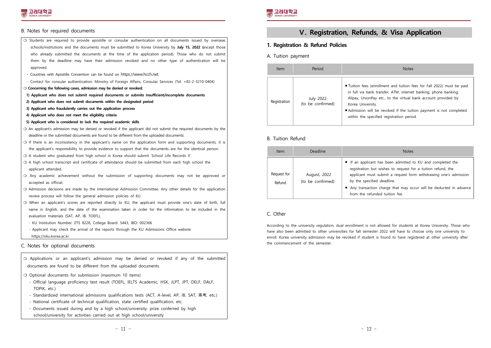#### B. Notes for required documents

- ❍ Students are required to provide apostille or consular authentication on all documents issued by overseas schools/institutions and the documents must be submitted to Korea University by **July 15, 2022 (**except those who already submitted the documents at the time of the application period). Those who do not submit them by the deadline may have their admission revoked and no other type of authentication will be approved.
- 
- Countries with Apostille Convention can be found on https://www.hcch.net. Contact for consular authentication: Ministry of Foreign Affairs, Consular Services (Tel. +82-2-3210-0404)
- **❍ Concerning the following cases, admission may be denied or revoked;**
- **1) Applicant who does not submit required documents or submits insufficient/incomplete documents**
- **2) Applicant who does not submit documents within the designated period**
- **3) Applicant who fraudulently carries out the application process**
- **4) Applicant who does not meet the eligibility criteria**
- **5) Applicant who is considered to lack the required academic skills**
- ❍ An applicant's admission may be denied or revoked if the applicant did not submit the required documents by the deadline or the submitted documents are found to be different from the uploaded documents.
- ❍ If there is an inconsistency in the applicant's name on the application form and supporting documents, it is the applicant's responsibility to provide evidence to support that the documents are for the identical person.
- ❍ A student who graduated from high school in Korea should submit 'School Life Records II'.
- ❍ A high school transcript and certificate of attendance should be submitted from each high school the applicant attended.
- ❍ Any academic achievement without the submission of supporting documents may not be approved or accepted as official.
- ❍ Admission decisions are made by the International Admission Committee. Any other details for the application review process will follow the general admission policies of KU.
- ❍ When an applicant's scores are reported directly to KU, the applicant must provide one's date of birth, full name in English, and the date of the examination taken in order for the information to be included in the evaluation materials (SAT, AP, IB, TOEFL).
- KU Institution Number: ETS 8228, College Board: 5443, IBO: 002366
- Applicant may check the arrival of the reports through the KU Admissions Office website https://oku.korea.ac.kr

#### C. Notes for optional documents



- National certificate of technical qualification, state certified qualification, etc.<br>- Documents issued during and by a high school/university: prize conferred by high
- school/university for activities carried out at high school/university



# **Ⅴ. Registration, Refunds, & Visa Application**

#### **1. Registration & Refund Policies**

A. Tuition payment

| Item         | Period                         | <b>Notes</b>                                                                                                                                                                                                                                                                                                                                         |
|--------------|--------------------------------|------------------------------------------------------------------------------------------------------------------------------------------------------------------------------------------------------------------------------------------------------------------------------------------------------------------------------------------------------|
| Registration | July 2022<br>(to be confirmed) | ■ Tuition fees (enrollment and tuition fees for Fall 2022) must be paid<br>in full via bank transfer, ATM, internet banking, phone banking,<br>Alipay, UnionPay etc., to the virtual bank account provided by<br>Korea University.<br>Admission will be revoked if the tuition payment is not completed<br>within the specified registration period. |

#### B. Tuition Refund

| <b>Item</b>           | Deadline                          | <b>Notes</b>                                                                                                                                                                                                                                                                                                                       |
|-----------------------|-----------------------------------|------------------------------------------------------------------------------------------------------------------------------------------------------------------------------------------------------------------------------------------------------------------------------------------------------------------------------------|
| Request for<br>Refund | August, 2022<br>(to be confirmed) | If an applicant has been admitted to KU and completed the<br>registration but wishes to request for a tuition refund, the<br>applicant must submit a request form withdrawing one's admission<br>by the specified deadline.<br>Any transaction charge that may occur will be deducted in advance<br>from the refunded tuition fee. |

#### C. Other

According to the university regulation, dual enrollment is not allowed for students at Korea University. Those who have also been admitted to other universities for fall semester 2022 will have to choose only one university to enroll. Korea university admission may be revoked if student is found to have registered at other university after the commencement of the semester.